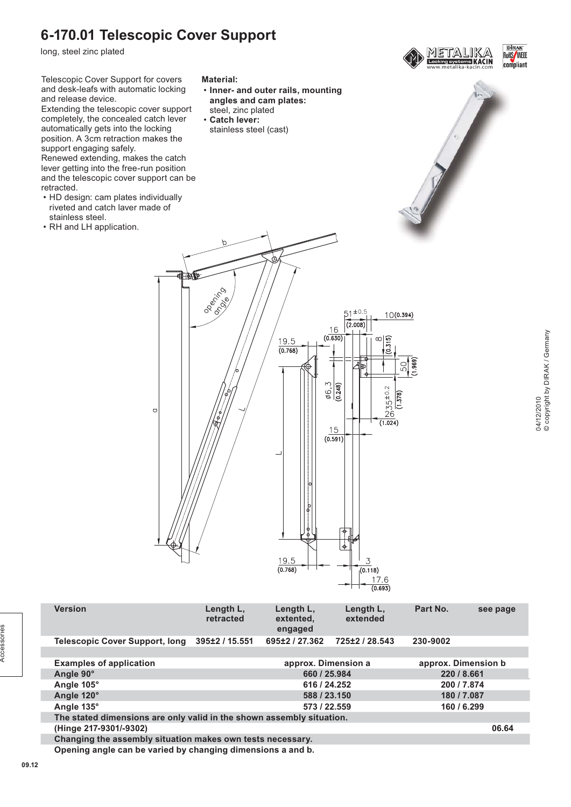# **6-170.01 Telescopic Cover Support**

long, steel zinc plated

retracted.



| <b>Version</b>                                                        | Length L,<br>retracted | Length L,<br>extented.<br>engaged | Length L,<br>extended | Part No.            | see page |
|-----------------------------------------------------------------------|------------------------|-----------------------------------|-----------------------|---------------------|----------|
| Telescopic Cover Support, long                                        | 395±2 / 15.551         | 695±2/27.362                      | 725±2 / 28.543        | 230-9002            |          |
|                                                                       |                        |                                   |                       |                     |          |
| <b>Examples of application</b>                                        |                        | approx. Dimension a               |                       | approx. Dimension b |          |
| Angle 90°                                                             |                        | 660 / 25.984                      |                       | 220 / 8.661         |          |
| Angle 105°                                                            |                        | 616 / 24.252                      |                       | 200 / 7.874         |          |
| Angle 120°                                                            |                        | 588 / 23.150                      |                       | 180 / 7.087         |          |
| Angle 135°                                                            |                        | 573 / 22.559                      |                       | 160 / 6.299         |          |
| The stated dimensions are only valid in the shown assembly situation. |                        |                                   |                       |                     |          |
| (Hinge 217-9301/-9302)                                                |                        |                                   |                       |                     | 06.64    |
| Changing the assembly situation makes own tests necessary.            |                        |                                   |                       |                     |          |

 $19.5$ 

 $(0.768)$ 

 $\overline{3}$ 

 $(0.118)$  $176$  $(0.693)$ 

**Opening angle can be varied by changing dimensions a and b.**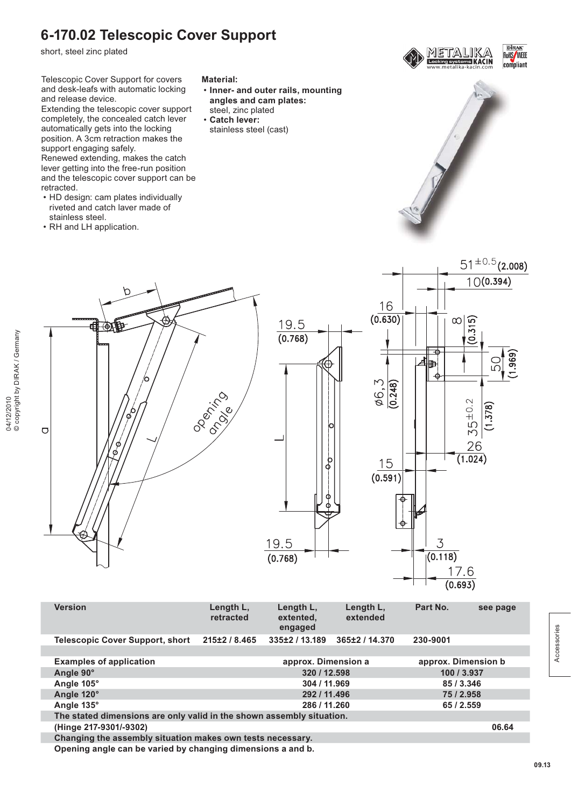# **6-170.02 Telescopic Cover Support**

short, steel zinc plated

Telescopic Cover Support for covers and desk-leafs with automatic locking and release device.

Extending the telescopic cover support completely, the concealed catch lever automatically gets into the locking position. A 3cm retraction makes the support engaging safely.

Renewed extending, makes the catch lever getting into the free-run position and the telescopic cover support can be retracted.

- HD design: cam plates individually riveted and catch laver made of stainless steel.
- RH and LH application.
- **Inner- and outer rails, mounting angles and cam plates:** steel, zinc plated
- **Catch lever:** stainless steel (cast)







| <b>Version</b>                                                        | Length L.<br>retracted | Length L.<br>extented,<br>engaged | Length L.<br>extended | Part No.            | see page |
|-----------------------------------------------------------------------|------------------------|-----------------------------------|-----------------------|---------------------|----------|
| Telescopic Cover Support, short                                       | 215±2 / 8.465          | 335±2/13.189                      | 365±2/14.370          | 230-9001            |          |
|                                                                       |                        |                                   |                       |                     |          |
| <b>Examples of application</b>                                        |                        | approx. Dimension a               |                       | approx. Dimension b |          |
| Angle 90°                                                             |                        | 320 / 12.598                      |                       | 100 / 3.937         |          |
| Angle 105°                                                            |                        | 304 / 11.969                      |                       | 85/3.346            |          |
| Angle 120°                                                            |                        | 292 / 11.496                      |                       | 75 / 2.958          |          |
| Angle 135°                                                            |                        | 286 / 11.260                      |                       | 65/2.559            |          |
| The stated dimensions are only valid in the shown assembly situation. |                        |                                   |                       |                     |          |
| (Hinge 217-9301/-9302)                                                |                        |                                   |                       |                     | 06.64    |
| Changing the assembly situation makes own tests necessary.            |                        |                                   |                       |                     |          |
|                                                                       |                        |                                   |                       |                     |          |

**Opening angle can be varied by changing dimensions a and b.**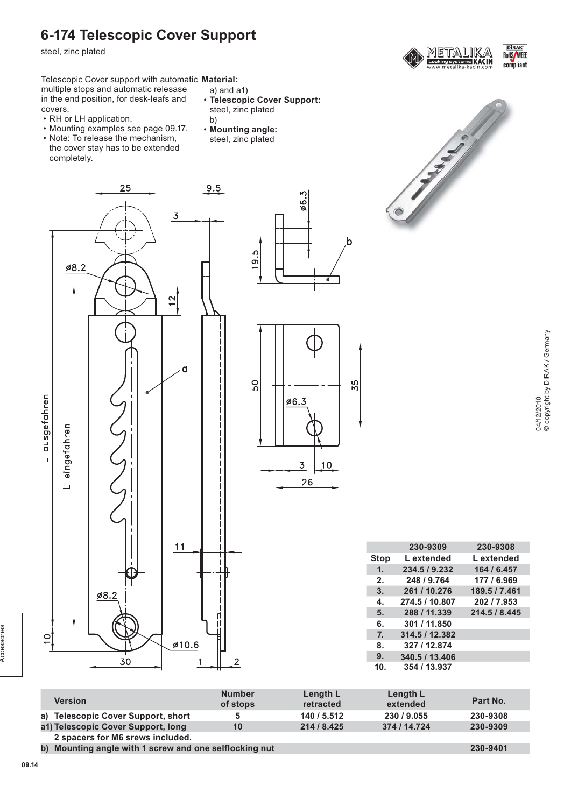### **6-174 Telescopic Cover Support**

steel, zinc plated



Telescopic Cover support with automatic **Material:** multiple stops and automatic relesase in the end position, for desk-leafs and covers.

- RH or LH application.
- Mounting examples see page 09.17.
- Note: To release the mechanism, the cover stay has to be extended completely.

25

- a) and a1) • **Telescopic Cover Support:**
- steel, zinc plated b)
- **Mounting angle:**
- steel, zinc plated

9.5





|                | 230-9309       | 230-9308      |
|----------------|----------------|---------------|
| <b>Stop</b>    | L extended     | L extended    |
| $\mathbf{1}$ . | 234.5 / 9.232  | 164 / 6.457   |
| 2.             | 248 / 9.764    | 177 / 6.969   |
| 3.             | 261 / 10.276   | 189.5 / 7.461 |
| 4.             | 274.5 / 10.807 | 202 / 7.953   |
| 5.             | 288 / 11.339   | 214.5 / 8.445 |
| 6.             | 301 / 11.850   |               |
| 7 <sub>1</sub> | 314.5 / 12.382 |               |
| 8.             | 327 / 12.874   |               |
| 9.             | 340.5 / 13.406 |               |
| 10.            | 354 / 13.937   |               |
|                |                |               |

| Version                            | <b>Number</b><br>of stops | Length L<br>retracted | Length L<br>extended | Part No.                                                                         |
|------------------------------------|---------------------------|-----------------------|----------------------|----------------------------------------------------------------------------------|
| a) Telescopic Cover Support, short | 5                         | 140 / 5.512           | 230 / 9.055          | 230-9308                                                                         |
| a1) Telescopic Cover Support, long | 10                        | 214 / 8.425           | 374 / 14.724         | 230-9309                                                                         |
| 2 spacers for M6 srews included.   |                           |                       |                      |                                                                                  |
|                                    | $\overline{\phantom{a}}$  |                       |                      | $\begin{array}{c} \n\bullet \bullet \bullet \bullet \bullet \bullet \end{array}$ |

**b) Mounting angle with 1 screw and one selflocking nut 230-9401**

Accessories

Accessories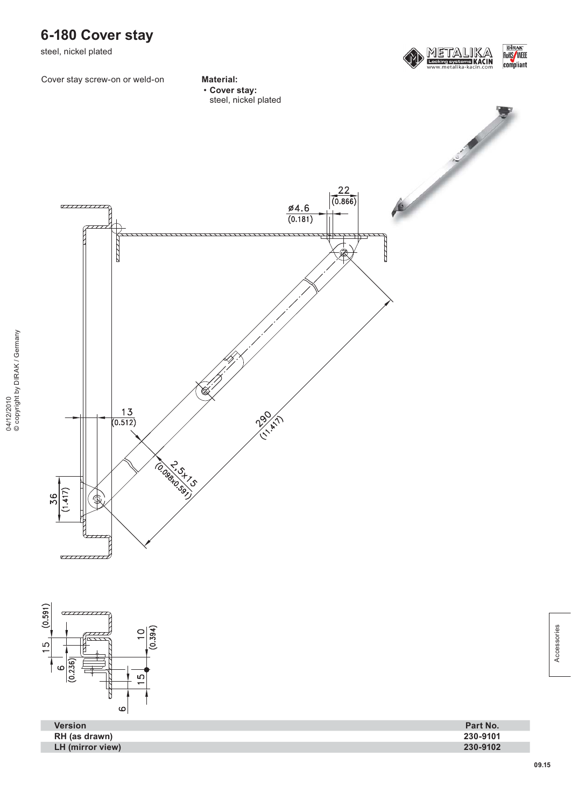

steel, nickel plated



Cover stay screw-on or weld-on **Material:**



• **Cover stay:** steel, nickel plated





| <b>Version</b>   | Part No. |
|------------------|----------|
| RH (as drawn)    | 230-9101 |
| LH (mirror view) | 230-9102 |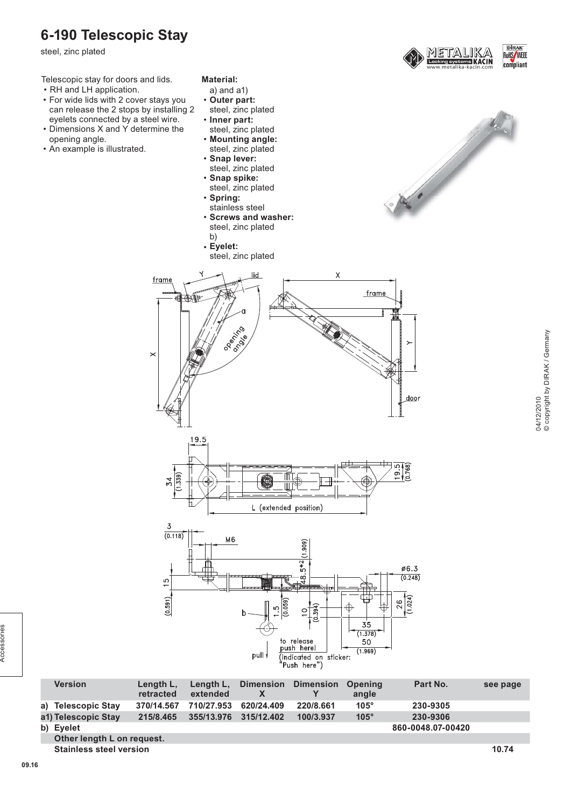#### **6-190 Telescopic Stay**

steel, zinc plated

Telescopic stay for doors and lids.

- RH and LH application.
- For wide lids with 2 cover stays you can release the 2 stops by installing 2 eyelets connected by a steel wire.
- Dimensions X and Y determine the opening angle.
- An example is illustrated.
- **Material:**
- a) and a1)
- **Outer part:** steel, zinc plated
- **Inner part:** steel, zinc plated
- **Mounting angle:** steel, zinc plated
- **Snap lever:** steel, zinc plated
- **Snap spike:**
- steel, zinc plated • **Spring:**
- stainless steel

• **Eyelet:**

frame

 $\times$ 

御傅

19.5

 $rac{34}{1.339}$ 

• **Screws and washer:** steel, zinc plated b)

steel, zinc plated

**DIRAK**<br>RoHS/WEEE **EIKACIN** compliant







| <b>Version</b>                 | Length L.<br>retracted | Length L.<br>extended | <b>Dimension</b> | <b>Dimension</b> | Opening<br>angle | Part No.          | see page |
|--------------------------------|------------------------|-----------------------|------------------|------------------|------------------|-------------------|----------|
| a) Telescopic Stay             | 370/14.567             | 710/27.953            | 620/24.409       | 220/8.661        | $105^\circ$      | 230-9305          |          |
| a1) Telescopic Stay            | 215/8.465              | 355/13.976            | 315/12.402       | 100/3.937        | $105^\circ$      | 230-9306          |          |
| b) Eyelet                      |                        |                       |                  |                  |                  | 860-0048.07-00420 |          |
| Other length L on request.     |                        |                       |                  |                  |                  |                   |          |
| <b>Stainless steel version</b> |                        |                       |                  |                  |                  |                   | 10.74    |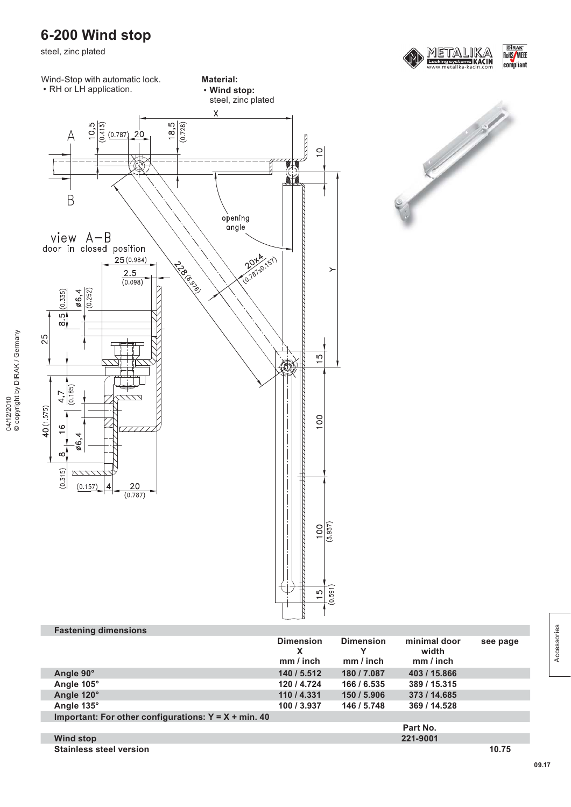# **6-200 Wind stop**

steel, zinc plated







| <b>Fastening dimensions</b>                           |                                    |                                |                                    |          |
|-------------------------------------------------------|------------------------------------|--------------------------------|------------------------------------|----------|
|                                                       | <b>Dimension</b><br>х<br>mm / inch | <b>Dimension</b><br>$mm/$ inch | minimal door<br>width<br>mm / inch | see page |
| Angle 90°                                             | 140 / 5.512                        | 180 / 7.087                    | 403 / 15.866                       |          |
| Angle 105°                                            | 120 / 4.724                        | 166 / 6.535                    | 389 / 15.315                       |          |
| Angle 120°                                            | 110 / 4.331                        | 150 / 5.906                    | 373 / 14.685                       |          |
| Angle 135°                                            | 100 / 3.937                        | 146 / 5.748                    | 369 / 14.528                       |          |
| Important: For other configurations: $Y = X + min.40$ |                                    |                                |                                    |          |
|                                                       |                                    |                                | Part No.                           |          |
| <b>Wind stop</b>                                      |                                    |                                | 221-9001                           |          |
| <b>Stainless steel version</b>                        |                                    |                                |                                    | 10.75    |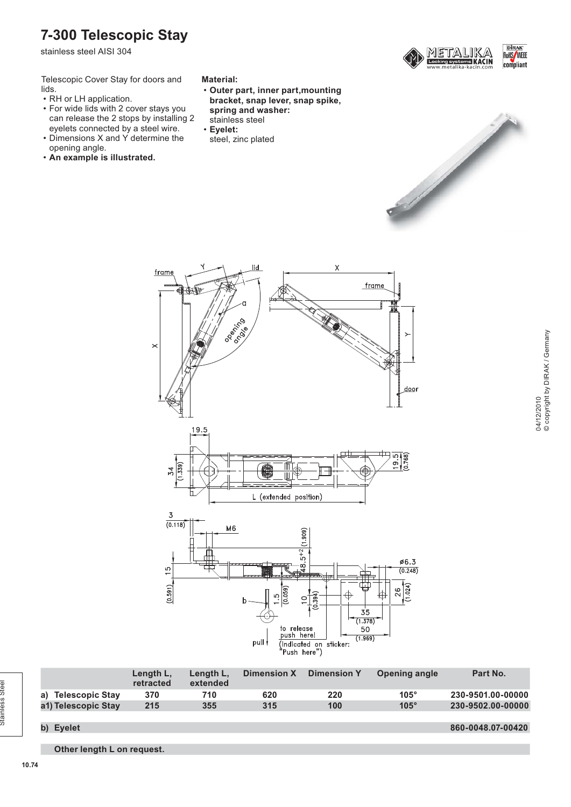### **7-300 Telescopic Stay**

stainless steel AISI 304

Telescopic Cover Stay for doors and lids.

- RH or LH application.
- For wide lids with 2 cover stays you can release the 2 stops by installing 2 eyelets connected by a steel wire.
- Dimensions X and Y determine the opening angle.
- **An example is illustrated.**

#### **Material:**

- **Outer part, inner part,mounting bracket, snap lever, snap spike,**
- **spring and washer:**
- stainless steel
- **Eyelet:**
- steel, zinc plated



**DIRAK**<br>RoHS/WEEE



**a) Telescopic Stay 370 710 620 220 105° 230-9501.00-00000 a1) Telescopic Stay 215 355 315 100 105° 230-9502.00-00000**

pull

to release<br>push here!

(indicated on sticker: 'Push here")

**b) Eyelet 860-0048.07-00420**

**Dimension X Dimension Y Opening angle Part No.**

 $(1.378)$ 

50  $(1.969)$ 

**Other length L on request.**

**Length L, retracted**

**Length L, extended**